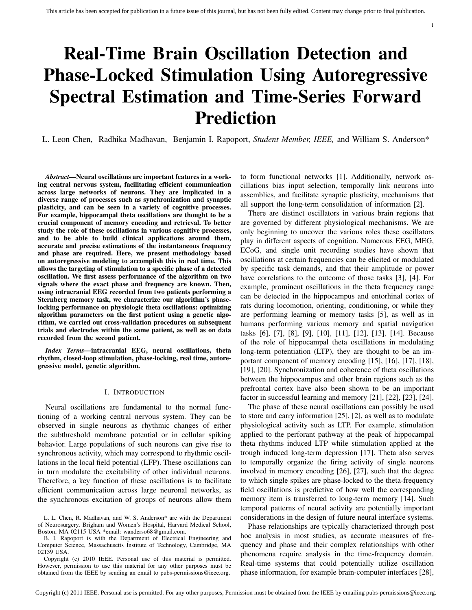# Real-Time Brain Oscillation Detection and Phase-Locked Stimulation Using Autoregressive Spectral Estimation and Time-Series Forward Prediction

L. Leon Chen, Radhika Madhavan, Benjamin I. Rapoport, *Student Member, IEEE,* and William S. Anderson\*

*Abstract*—Neural oscillations are important features in a working central nervous system, facilitating efficient communication across large networks of neurons. They are implicated in a diverse range of processes such as synchronization and synaptic plasticity, and can be seen in a variety of cognitive processes. For example, hippocampal theta oscillations are thought to be a crucial component of memory encoding and retrieval. To better study the role of these oscillations in various cognitive processes, and to be able to build clinical applications around them, accurate and precise estimations of the instantaneous frequency and phase are required. Here, we present methodology based on autoregressive modeling to accomplish this in real time. This allows the targeting of stimulation to a specific phase of a detected oscillation. We first assess performance of the algorithm on two signals where the exact phase and frequency are known. Then, using intracranial EEG recorded from two patients performing a Sternberg memory task, we characterize our algorithm's phaselocking performance on physiologic theta oscillations: optimizing algorithm parameters on the first patient using a genetic algorithm, we carried out cross-validation procedures on subsequent trials and electrodes within the same patient, as well as on data recorded from the second patient.

*Index Terms*—intracranial EEG, neural oscillations, theta rhythm, closed-loop stimulation, phase-locking, real time, autoregressive model, genetic algorithm.

## I. INTRODUCTION

Neural oscillations are fundamental to the normal functioning of a working central nervous system. They can be observed in single neurons as rhythmic changes of either the subthreshold membrane potential or in cellular spiking behavior. Large populations of such neurons can give rise to synchronous activity, which may correspond to rhythmic oscillations in the local field potential (LFP). These oscillations can in turn modulate the excitability of other individual neurons. Therefore, a key function of these oscillations is to facilitate efficient communication across large neuronal networks, as the synchronous excitation of groups of neurons allow them

to form functional networks [1]. Additionally, network oscillations bias input selection, temporally link neurons into assemblies, and facilitate synaptic plasticity, mechanisms that all support the long-term consolidation of information [2].

1

There are distinct oscillators in various brain regions that are governed by different physiological mechanisms. We are only beginning to uncover the various roles these oscillators play in different aspects of cognition. Numerous EEG, MEG, ECoG, and single unit recording studies have shown that oscillations at certain frequencies can be elicited or modulated by specific task demands, and that their amplitude or power have correlations to the outcome of those tasks [3], [4]. For example, prominent oscillations in the theta frequency range can be detected in the hippocampus and entorhinal cortex of rats during locomotion, orienting, conditioning, or while they are performing learning or memory tasks [5], as well as in humans performing various memory and spatial navigation tasks [6], [7], [8], [9], [10], [11], [12], [13], [14]. Because of the role of hippocampal theta oscillations in modulating long-term potentiation (LTP), they are thought to be an important component of memory encoding [15], [16], [17], [18], [19], [20]. Synchronization and coherence of theta oscillations between the hippocampus and other brain regions such as the prefrontal cortex have also been shown to be an important factor in successful learning and memory [21], [22], [23], [24].

The phase of these neural oscillations can possibly be used to store and carry information [25], [2], as well as to modulate physiological activity such as LTP. For example, stimulation applied to the perforant pathway at the peak of hippocampal theta rhythms induced LTP while stimulation applied at the trough induced long-term depression [17]. Theta also serves to temporally organize the firing activity of single neurons involved in memory encoding [26], [27], such that the degree to which single spikes are phase-locked to the theta-frequency field oscillations is predictive of how well the corresponding memory item is transferred to long-term memory [14]. Such temporal patterns of neural activity are potentially important considerations in the design of future neural interface systems.

Phase relationships are typically characterized through post hoc analysis in most studies, as accurate measures of frequency and phase and their complex relationships with other phenomena require analysis in the time-frequency domain. Real-time systems that could potentially utilize oscillation phase information, for example brain-computer interfaces [28],

L. L. Chen, R. Madhavan, and W. S. Anderson\* are with the Department of Neurosurgery, Brigham and Women's Hospital, Harvard Medical School, Boston, MA 02115 USA \*email: wanderso68@gmail.com.

B. I. Rapoport is with the Department of Electrical Engineering and Computer Science, Massachusetts Institute of Technology, Cambridge, MA 02139 USA.

Copyright (c) 2010 IEEE. Personal use of this material is permitted. However, permission to use this material for any other purposes must be obtained from the IEEE by sending an email to pubs-permissions@ieee.org.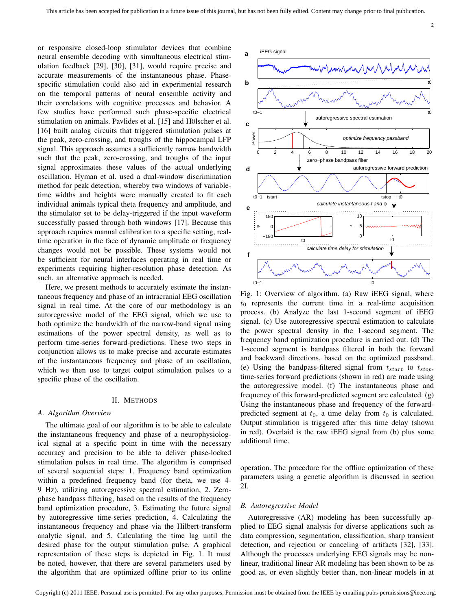or responsive closed-loop stimulator devices that combine neural ensemble decoding with simultaneous electrical stimulation feedback [29], [30], [31], would require precise and accurate measurements of the instantaneous phase. Phasespecific stimulation could also aid in experimental research on the temporal patterns of neural ensemble activity and their correlations with cognitive processes and behavior. A few studies have performed such phase-specific electrical stimulation on animals. Pavlides et al. [15] and Hölscher et al. [16] built analog circuits that triggered stimulation pulses at the peak, zero-crossing, and troughs of the hippocampal LFP signal. This approach assumes a sufficiently narrow bandwidth such that the peak, zero-crossing, and troughs of the input signal approximates these values of the actual underlying oscillation. Hyman et al. used a dual-window discrimination method for peak detection, whereby two windows of variabletime widths and heights were manually created to fit each individual animals typical theta frequency and amplitude, and the stimulator set to be delay-triggered if the input waveform successfully passed through both windows [17]. Because this approach requires manual calibration to a specific setting, realtime operation in the face of dynamic amplitude or frequency changes would not be possible. These systems would not be sufficient for neural interfaces operating in real time or experiments requiring higher-resolution phase detection. As such, an alternative approach is needed.

Here, we present methods to accurately estimate the instantaneous frequency and phase of an intracranial EEG oscillation signal in real time. At the core of our methodology is an autoregressive model of the EEG signal, which we use to both optimize the bandwidth of the narrow-band signal using estimations of the power spectral density, as well as to perform time-series forward-predictions. These two steps in conjunction allows us to make precise and accurate estimates of the instantaneous frequency and phase of an oscillation, which we then use to target output stimulation pulses to a specific phase of the oscillation.

#### II. METHODS

#### *A. Algorithm Overview*

The ultimate goal of our algorithm is to be able to calculate the instantaneous frequency and phase of a neurophysiological signal at a specific point in time with the necessary accuracy and precision to be able to deliver phase-locked stimulation pulses in real time. The algorithm is comprised of several sequential steps: 1. Frequency band optimization within a predefined frequency band (for theta, we use 4- 9 Hz), utilizing autoregressive spectral estimation, 2. Zerophase bandpass filtering, based on the results of the frequency band optimization procedure, 3. Estimating the future signal by autoregressive time-series prediction, 4. Calculating the instantaneous frequency and phase via the Hilbert-transform analytic signal, and 5. Calculating the time lag until the desired phase for the output stimulation pulse. A graphical representation of these steps is depicted in Fig. 1. It must be noted, however, that there are several parameters used by the algorithm that are optimized offline prior to its online



Fig. 1: Overview of algorithm. (a) Raw iEEG signal, where  $t_0$  represents the current time in a real-time acquisition process. (b) Analyze the last 1-second segment of iEEG signal. (c) Use autoregressive spectral estimation to calculate the power spectral density in the 1-second segment. The frequency band optimization procedure is carried out. (d) The 1-second segment is bandpass filtered in both the forward and backward directions, based on the optimized passband. (e) Using the bandpass-filtered signal from  $t_{start}$  to  $t_{stop}$ , time-series forward predictions (shown in red) are made using the autoregressive model. (f) The instantaneous phase and frequency of this forward-predicted segment are calculated. (g) Using the instantaneous phase and frequency of the forwardpredicted segment at  $t_0$ , a time delay from  $t_0$  is calculated. Output stimulation is triggered after this time delay (shown in red). Overlaid is the raw iEEG signal from (b) plus some additional time.

operation. The procedure for the offline optimization of these parameters using a genetic algorithm is discussed in section 2I.

## *B. Autoregressive Model*

Autoregressive (AR) modeling has been successfully applied to EEG signal analysis for diverse applications such as data compression, segmentation, classification, sharp transient detection, and rejection or canceling of artifacts [32], [33]. Although the processes underlying EEG signals may be nonlinear, traditional linear AR modeling has been shown to be as good as, or even slightly better than, non-linear models in at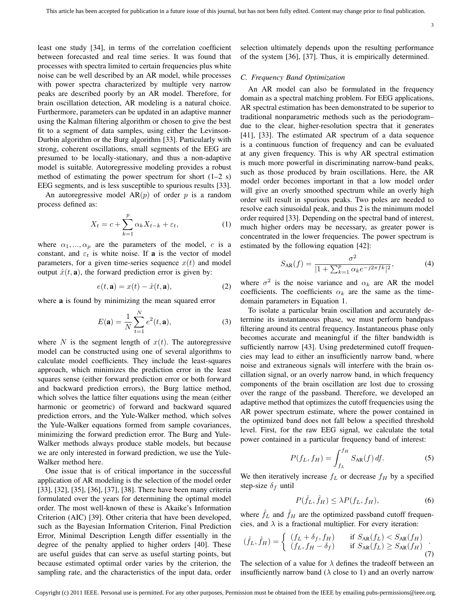least one study [34], in terms of the correlation coefficient between forecasted and real time series. It was found that processes with spectra limited to certain frequencies plus white noise can be well described by an AR model, while processes with power spectra characterized by multiple very narrow peaks are described poorly by an AR model. Therefore, for brain oscillation detection, AR modeling is a natural choice. Furthermore, parameters can be updated in an adaptive manner using the Kalman filtering algorithm or chosen to give the best fit to a segment of data samples, using either the Levinson-Durbin algorithm or the Burg algorithm [33]. Particularly with strong, coherent oscillations, small segments of the EEG are presumed to be locally-stationary, and thus a non-adaptive model is suitable. Autoregressive modeling provides a robust method of estimating the power spectrum for short  $(1-2 s)$ EEG segments, and is less susceptible to spurious results [33].

An autoregressive model  $AR(p)$  of order p is a random process defined as:

$$
X_t = c + \sum_{k=1}^p \alpha_k X_{t-k} + \varepsilon_t, \tag{1}
$$

where  $\alpha_1, ..., \alpha_p$  are the parameters of the model, c is a constant, and  $\varepsilon_t$  is white noise. If **a** is the vector of model parameters, for a given time-series sequence  $x(t)$  and model output  $\hat{x}(t, \mathbf{a})$ , the forward prediction error is given by:

$$
e(t, \mathbf{a}) = x(t) - \hat{x}(t, \mathbf{a}),\tag{2}
$$

where a is found by minimizing the mean squared error

$$
E(\mathbf{a}) = \frac{1}{N} \sum_{t=1}^{N} e^{2}(t, \mathbf{a}),
$$
 (3)

where N is the segment length of  $x(t)$ . The autoregressive model can be constructed using one of several algorithms to calculate model coefficients. They include the least-squares approach, which minimizes the prediction error in the least squares sense (either forward prediction error or both forward and backward prediction errors), the Burg lattice method, which solves the lattice filter equations using the mean (either harmonic or geometric) of forward and backward squared prediction errors, and the Yule-Walker method, which solves the Yule-Walker equations formed from sample covariances, minimizing the forward prediction error. The Burg and Yule-Walker methods always produce stable models, but because we are only interested in forward prediction, we use the Yule-Walker method here.

One issue that is of critical importance in the successful application of AR modeling is the selection of the model order [33], [32], [35], [36], [37], [38]. There have been many criteria formulated over the years for determining the optimal model order. The most well-known of these is Akaike's Information Criterion (AIC) [39]. Other criteria that have been developed, such as the Bayesian Information Criterion, Final Prediction Error, Minimal Description Length differ essentially in the degree of the penalty applied to higher orders [40]. These are useful guides that can serve as useful starting points, but because estimated optimal order varies by the criterion, the sampling rate, and the characteristics of the input data, order

selection ultimately depends upon the resulting performance of the system [36], [37]. Thus, it is empirically determined.

## *C. Frequency Band Optimization*

An AR model can also be formulated in the frequency domain as a spectral matching problem. For EEG applications, AR spectral estimation has been demonstrated to be superior to traditional nonparametric methods such as the periodogram– due to the clear, higher-resolution spectra that it generates [41], [33]. The estimated AR spectrum of a data sequence is a continuous function of frequency and can be evaluated at any given frequency. This is why AR spectral estimation is much more powerful in discriminating narrow-band peaks, such as those produced by brain oscillations. Here, the AR model order becomes important in that a low model order will give an overly smoothed spectrum while an overly high order will result in spurious peaks. Two poles are needed to resolve each sinusoidal peak, and thus 2 is the minimum model order required [33]. Depending on the spectral band of interest, much higher orders may be necessary, as greater power is concentrated in the lower frequencies. The power spectrum is estimated by the following equation [42]:

$$
S_{AR}(f) = \frac{\sigma^2}{|1 + \sum_{k=1}^p \alpha_k e^{-j2\pi f k}|^2},\tag{4}
$$

where  $\sigma^2$  is the noise variance and  $\alpha_k$  are AR the model coefficients. The coefficients  $\alpha_k$  are the same as the timedomain parameters in Equation 1.

To isolate a particular brain oscillation and accurately determine its instantaneous phase, we must perform bandpass filtering around its central frequency. Instantaneous phase only becomes accurate and meaningful if the filter bandwidth is sufficiently narrow [43]. Using predetermined cutoff frequencies may lead to either an insufficiently narrow band, where noise and extraneous signals will interfere with the brain oscillation signal, or an overly narrow band, in which frequency components of the brain oscillation are lost due to crossing over the range of the passband. Therefore, we developed an adaptive method that optimizes the cutoff frequencies using the AR power spectrum estimate, where the power contained in the optimized band does not fall below a specified threshold level. First, for the raw EEG signal, we calculate the total power contained in a particular frequency band of interest:

$$
P(f_L, f_H) = \int_{f_L}^{f_H} S_{\text{AR}}(f) \, df. \tag{5}
$$

We then iteratively increase  $f_L$  or decrease  $f_H$  by a specified step-size  $\delta_f$  until

$$
P(\hat{f}_L, \hat{f}_H) \le \lambda P(f_L, f_H),\tag{6}
$$

where  $\hat{f}_L$  and  $\hat{f}_H$  are the optimized passband cutoff frequencies, and  $\lambda$  is a fractional multiplier. For every iteration:

$$
(\hat{f}_L, \hat{f}_H) = \begin{cases} (f_L + \delta_f, f_H) & \text{if } S_{AR}(f_L) < S_{AR}(f_H) \\ (f_L, f_H - \delta_f) & \text{if } S_{AR}(f_L) \ge S_{AR}(f_H) \end{cases} (7)
$$

The selection of a value for  $\lambda$  defines the tradeoff between an insufficiently narrow band ( $\lambda$  close to 1) and an overly narrow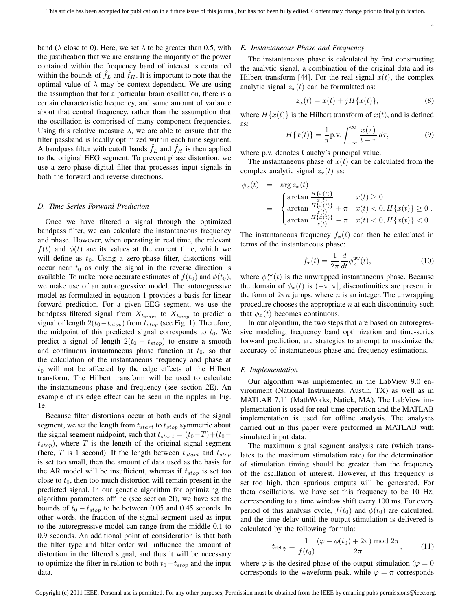band ( $\lambda$  close to 0). Here, we set  $\lambda$  to be greater than 0.5, with the justification that we are ensuring the majority of the power contained within the frequency band of interest is contained within the bounds of  $f_L$  and  $f_H$ . It is important to note that the optimal value of  $\lambda$  may be context-dependent. We are using the assumption that for a particular brain oscillation, there is a certain characteristic frequency, and some amount of variance about that central frequency, rather than the assumption that the oscillation is comprised of many component frequencies. Using this relative measure  $\lambda$ , we are able to ensure that the filter passband is locally optimized within each time segment. A bandpass filter with cutoff bands  $f_L$  and  $f_H$  is then applied to the original EEG segment. To prevent phase distortion, we use a zero-phase digital filter that processes input signals in both the forward and reverse directions.

## *D. Time-Series Forward Prediction*

Once we have filtered a signal through the optimized bandpass filter, we can calculate the instantaneous frequency and phase. However, when operating in real time, the relevant  $f(t)$  and  $\phi(t)$  are its values at the current time, which we will define as  $t_0$ . Using a zero-phase filter, distortions will occur near  $t_0$  as only the signal in the reverse direction is available. To make more accurate estimates of  $f(t_0)$  and  $\phi(t_0)$ , we make use of an autoregressive model. The autoregressive model as formulated in equation 1 provides a basis for linear forward prediction. For a given EEG segment, we use the bandpass filtered signal from  $X_{t_{start}}$  to  $X_{t_{stop}}$  to predict a signal of length  $2(t_0-t_{stop})$  from  $t_{stop}$  (see Fig. 1). Therefore, the midpoint of this predicted signal corresponds to  $t_0$ . We predict a signal of length  $2(t_0 - t_{stop})$  to ensure a smooth and continuous instantaneous phase function at  $t_0$ , so that the calculation of the instantaneous frequency and phase at  $t_0$  will not be affected by the edge effects of the Hilbert transform. The Hilbert transform will be used to calculate the instantaneous phase and frequency (see section 2E). An example of its edge effect can be seen in the ripples in Fig. 1e.

Because filter distortions occur at both ends of the signal segment, we set the length from  $t_{start}$  to  $t_{stop}$  symmetric about the signal segment midpoint, such that  $t_{start} = (t_0-T)+(t_0-T)$  $t_{stop}$ ), where T is the length of the original signal segment (here,  $T$  is 1 second). If the length between  $t_{start}$  and  $t_{stop}$ is set too small, then the amount of data used as the basis for the AR model will be insufficient, whereas if  $t_{stop}$  is set too close to  $t_0$ , then too much distortion will remain present in the predicted signal. In our genetic algorithm for optimizing the algorithm parameters offline (see section 2I), we have set the bounds of  $t_0 - t_{stop}$  to be between 0.05 and 0.45 seconds. In other words, the fraction of the signal segment used as input to the autoregressive model can range from the middle 0.1 to 0.9 seconds. An additional point of consideration is that both the filter type and filter order will influence the amount of distortion in the filtered signal, and thus it will be necessary to optimize the filter in relation to both  $t_0-t_{stop}$  and the input data.

## *E. Instantaneous Phase and Frequency*

The instantaneous phase is calculated by first constructing the analytic signal, a combination of the original data and its Hilbert transform [44]. For the real signal  $x(t)$ , the complex analytic signal  $z_x(t)$  can be formulated as:

$$
z_x(t) = x(t) + jH\{x(t)\},\tag{8}
$$

where  $H\{x(t)\}\$ is the Hilbert transform of  $x(t)$ , and is defined as:

$$
H\{x(t)\} = \frac{1}{\pi} \text{p.v.} \int_{-\infty}^{\infty} \frac{x(\tau)}{t - \tau} d\tau, \tag{9}
$$

where p.v. denotes Cauchy's principal value.

The instantaneous phase of  $x(t)$  can be calculated from the complex analytic signal  $z_x(t)$  as:

$$
\phi_x(t) = \arg z_x(t)
$$
\n
$$
= \begin{cases}\n\arctan \frac{H\{x(t)\}}{x(t)} & x(t) \ge 0 \\
\arctan \frac{H\{x(t)\}}{x(t)} + \pi & x(t) < 0, H\{x(t)\} \ge 0 \\
\arctan \frac{H\{x(t)\}}{x(t)} - \pi & x(t) < 0, H\{x(t)\} < 0\n\end{cases}
$$

The instantaneous frequency  $f_x(t)$  can then be calculated in terms of the instantaneous phase:

$$
f_x(t) = \frac{1}{2\pi} \frac{d}{dt} \phi_x^{\text{uw}}(t),\tag{10}
$$

where  $\phi_x^{\text{uw}}(t)$  is the unwrapped instantaneous phase. Because the domain of  $\phi_x(t)$  is  $(-\pi, \pi]$ , discontinuities are present in the form of  $2\pi n$  jumps, where n is an integer. The unwrapping procedure chooses the appropriate  $n$  at each discontinuity such that  $\phi_x(t)$  becomes continuous.

In our algorithm, the two steps that are based on autoregressive modeling, frequency band optimization and time-series forward prediction, are strategies to attempt to maximize the accuracy of instantaneous phase and frequency estimations.

### *F. Implementation*

Our algorithm was implemented in the LabView 9.0 environment (National Instruments, Austin, TX) as well as in MATLAB 7.11 (MathWorks, Natick, MA). The LabView implementation is used for real-time operation and the MATLAB implementation is used for offline analysis. The analyses carried out in this paper were performed in MATLAB with simulated input data.

The maximum signal segment analysis rate (which translates to the maximum stimulation rate) for the determination of stimulation timing should be greater than the frequency of the oscillation of interest. However, if this frequency is set too high, then spurious outputs will be generated. For theta oscillations, we have set this frequency to be 10 Hz, corresponding to a time window shift every 100 ms. For every period of this analysis cycle,  $f(t_0)$  and  $\phi(t_0)$  are calculated, and the time delay until the output stimulation is delivered is calculated by the following formula:

$$
t_{\text{delay}} = \frac{1}{f(t_0)} \frac{(\varphi - \phi(t_0) + 2\pi) \mod 2\pi}{2\pi},\qquad(11)
$$

where  $\varphi$  is the desired phase of the output stimulation ( $\varphi = 0$ corresponds to the waveform peak, while  $\varphi = \pi$  corresponds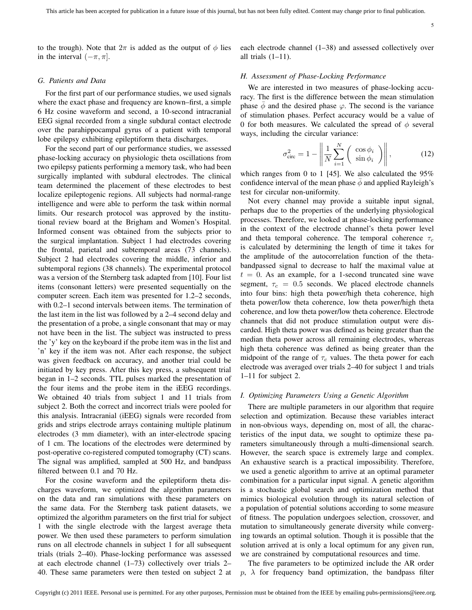to the trough). Note that  $2\pi$  is added as the output of  $\phi$  lies in the interval  $(-\pi, \pi]$ .

*G. Patients and Data*

For the first part of our performance studies, we used signals where the exact phase and frequency are known–first, a simple 6 Hz cosine waveform and second, a 10-second intracranial EEG signal recorded from a single subdural contact electrode over the parahippocampal gyrus of a patient with temporal lobe epilepsy exhibiting epileptiform theta discharges.

For the second part of our performance studies, we assessed phase-locking accuracy on physiologic theta oscillations from two epilepsy patients performing a memory task, who had been surgically implanted with subdural electrodes. The clinical team determined the placement of these electrodes to best localize epileptogenic regions. All subjects had normal-range intelligence and were able to perform the task within normal limits. Our research protocol was approved by the institutional review board at the Brigham and Women's Hospital. Informed consent was obtained from the subjects prior to the surgical implantation. Subject 1 had electrodes covering the frontal, parietal and subtemporal areas (73 channels). Subject 2 had electrodes covering the middle, inferior and subtemporal regions (38 channels). The experimental protocol was a version of the Sternberg task adapted from [10]. Four list items (consonant letters) were presented sequentially on the computer screen. Each item was presented for 1.2–2 seconds, with 0.2–1 second intervals between items. The termination of the last item in the list was followed by a 2–4 second delay and the presentation of a probe, a single consonant that may or may not have been in the list. The subject was instructed to press the 'y' key on the keyboard if the probe item was in the list and 'n' key if the item was not. After each response, the subject was given feedback on accuracy, and another trial could be initiated by key press. After this key press, a subsequent trial began in 1–2 seconds. TTL pulses marked the presentation of the four items and the probe item in the iEEG recordings. We obtained 40 trials from subject 1 and 11 trials from subject 2. Both the correct and incorrect trials were pooled for this analysis. Intracranial (iEEG) signals were recorded from grids and strips electrode arrays containing multiple platinum electrodes (3 mm diameter), with an inter-electrode spacing of 1 cm. The locations of the electrodes were determined by post-operative co-registered computed tomography (CT) scans. The signal was amplified, sampled at 500 Hz, and bandpass filtered between 0.1 and 70 Hz.

For the cosine waveform and the epileptiform theta discharges waveform, we optimized the algorithm parameters on the data and ran simulations with these parameters on the same data. For the Sternberg task patient datasets, we optimized the algorithm parameters on the first trial for subject 1 with the single electrode with the largest average theta power. We then used these parameters to perform simulation runs on all electrode channels in subject 1 for all subsequent trials (trials 2–40). Phase-locking performance was assessed at each electrode channel (1–73) collectively over trials 2– 40. These same parameters were then tested on subject 2 at each electrode channel (1–38) and assessed collectively over all trials  $(1-11)$ .

5

# *H. Assessment of Phase-Locking Performance*

We are interested in two measures of phase-locking accuracy. The first is the difference between the mean stimulation phase  $\overline{\phi}$  and the desired phase  $\varphi$ . The second is the variance of stimulation phases. Perfect accuracy would be a value of 0 for both measures. We calculated the spread of  $\phi$  several ways, including the circular variance:

$$
\sigma_{\text{circ}}^2 = 1 - \left\| \frac{1}{N} \sum_{i=1}^N \left( \begin{array}{c} \cos \phi_i \\ \sin \phi_i \end{array} \right) \right\|, \tag{12}
$$

which ranges from 0 to 1 [45]. We also calculated the 95% confidence interval of the mean phase  $\overline{\phi}$  and applied Rayleigh's test for circular non-uniformity.

Not every channel may provide a suitable input signal, perhaps due to the properties of the underlying physiological processes. Therefore, we looked at phase-locking performance in the context of the electrode channel's theta power level and theta temporal coherence. The temporal coherence  $\tau_c$ is calculated by determining the length of time it takes for the amplitude of the autocorrelation function of the thetabandpassed signal to decrease to half the maximal value at  $t = 0$ . As an example, for a 1-second truncated sine wave segment,  $\tau_c = 0.5$  seconds. We placed electrode channels into four bins: high theta power/high theta coherence, high theta power/low theta coherence, low theta power/high theta coherence, and low theta power/low theta coherence. Electrode channels that did not produce stimulation output were discarded. High theta power was defined as being greater than the median theta power across all remaining electrodes, whereas high theta coherence was defined as being greater than the midpoint of the range of  $\tau_c$  values. The theta power for each electrode was averaged over trials 2–40 for subject 1 and trials 1–11 for subject 2.

## *I. Optimizing Parameters Using a Genetic Algorithm*

There are multiple parameters in our algorithm that require selection and optimization. Because these variables interact in non-obvious ways, depending on, most of all, the characteristics of the input data, we sought to optimize these parameters simultaneously through a multi-dimensional search. However, the search space is extremely large and complex. An exhaustive search is a practical impossibility. Therefore, we used a genetic algorithm to arrive at an optimal parameter combination for a particular input signal. A genetic algorithm is a stochastic global search and optimization method that mimics biological evolution through its natural selection of a population of potential solutions according to some measure of fitness. The population undergoes selection, crossover, and mutation to simultaneously generate diversity while converging towards an optimal solution. Though it is possible that the solution arrived at is only a local optimum for any given run, we are constrained by computational resources and time.

The five parameters to be optimized include the AR order  $p, \lambda$  for frequency band optimization, the bandpass filter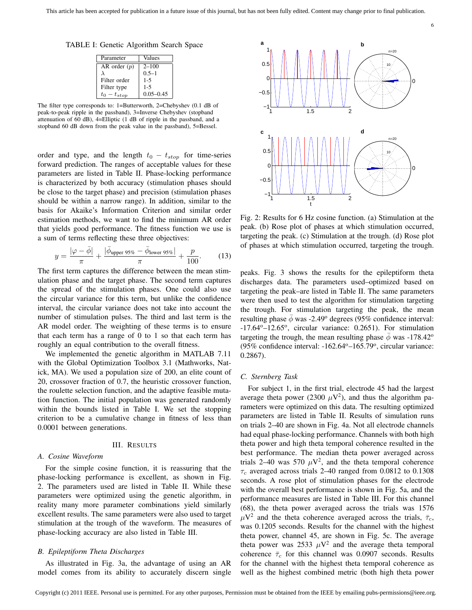TABLE I: Genetic Algorithm Search Space

| Parameter        | Values        |
|------------------|---------------|
| AR order $(p)$   | $2 - 100$     |
|                  | $0.5 - 1$     |
| Filter order     | $1 - 5$       |
| Filter type      | $1 - 5$       |
| $t_0 - t_{stop}$ | $0.05 - 0.45$ |

The filter type corresponds to: 1=Butterworth, 2=Chebyshev (0.1 dB of peak-to-peak ripple in the passband), 3=Inverse Chebyshev (stopband attenuation of 60 dB), 4=Elliptic (1 dB of ripple in the passband, and a stopband 60 dB down from the peak value in the passband), 5=Bessel.

order and type, and the length  $t_0 - t_{stop}$  for time-series forward prediction. The ranges of acceptable values for these parameters are listed in Table II. Phase-locking performance is characterized by both accuracy (stimulation phases should be close to the target phase) and precision (stimulation phases should be within a narrow range). In addition, similar to the basis for Akaike's Information Criterion and similar order estimation methods, we want to find the minimum AR order that yields good performance. The fitness function we use is a sum of terms reflecting these three objectives:

$$
y = \frac{|\varphi - \bar{\phi}|}{\pi} + \frac{|\bar{\phi}_{\text{upper 95\%}} - \bar{\phi}_{\text{lower 95\%}}|}{\pi} + \frac{p}{100}.
$$
 (13)

The first term captures the difference between the mean stimulation phase and the target phase. The second term captures the spread of the stimulation phases. One could also use the circular variance for this term, but unlike the confidence interval, the circular variance does not take into account the number of stimulation pulses. The third and last term is the AR model order. The weighting of these terms is to ensure that each term has a range of 0 to 1 so that each term has roughly an equal contribution to the overall fitness.

We implemented the genetic algorithm in MATLAB 7.11 with the Global Optimization Toolbox 3.1 (Mathworks, Natick, MA). We used a population size of 200, an elite count of 20, crossover fraction of 0.7, the heuristic crossover function, the roulette selection function, and the adaptive feasible mutation function. The initial population was generated randomly within the bounds listed in Table I. We set the stopping criterion to be a cumulative change in fitness of less than 0.0001 between generations.

# III. RESULTS

# *A. Cosine Waveform*

For the simple cosine function, it is reassuring that the phase-locking performance is excellent, as shown in Fig. 2. The parameters used are listed in Table II. While these parameters were optimized using the genetic algorithm, in reality many more parameter combinations yield similarly excellent results. The same parameters were also used to target stimulation at the trough of the waveform. The measures of phase-locking accuracy are also listed in Table III.

## *B. Epileptiform Theta Discharges*

As illustrated in Fig. 3a, the advantage of using an AR model comes from its ability to accurately discern single



Fig. 2: Results for 6 Hz cosine function. (a) Stimulation at the peak. (b) Rose plot of phases at which stimulation occurred, targeting the peak. (c) Stimulation at the trough. (d) Rose plot of phases at which stimulation occurred, targeting the trough.

peaks. Fig. 3 shows the results for the epileptiform theta discharges data. The parameters used–optimized based on targeting the peak–are listed in Table II. The same parameters were then used to test the algorithm for stimulation targeting the trough. For stimulation targeting the peak, the mean resulting phase  $\overline{\phi}$  was -2.49<sup>o</sup> degrees (95% confidence interval: -17.64°-12.65°, circular variance: 0.2651). For stimulation targeting the trough, the mean resulting phase  $\phi$  was -178.42<sup>o</sup> (95% confidence interval: -162.64°-165.79°, circular variance: 0.2867).

## *C. Sternberg Task*

For subject 1, in the first trial, electrode 45 had the largest average theta power (2300  $\mu$ V<sup>2</sup>), and thus the algorithm parameters were optimized on this data. The resulting optimized parameters are listed in Table II. Results of simulation runs on trials 2–40 are shown in Fig. 4a. Not all electrode channels had equal phase-locking performance. Channels with both high theta power and high theta temporal coherence resulted in the best performance. The median theta power averaged across trials 2–40 was 570  $\mu$ V<sup>2</sup>, and the theta temporal coherence  $\tau_c$  averaged across trials 2–40 ranged from 0.0812 to 0.1308 seconds. A rose plot of stimulation phases for the electrode with the overall best performance is shown in Fig. 5a, and the performance measures are listed in Table III. For this channel (68), the theta power averaged across the trials was 1576  $\mu$ V<sup>2</sup> and the theta coherence averaged across the trials,  $\bar{\tau}_c$ , was 0.1205 seconds. Results for the channel with the highest theta power, channel 45, are shown in Fig. 5c. The average theta power was 2533  $\mu$ V<sup>2</sup> and the average theta temporal coherence  $\bar{\tau}_c$  for this channel was 0.0907 seconds. Results for the channel with the highest theta temporal coherence as well as the highest combined metric (both high theta power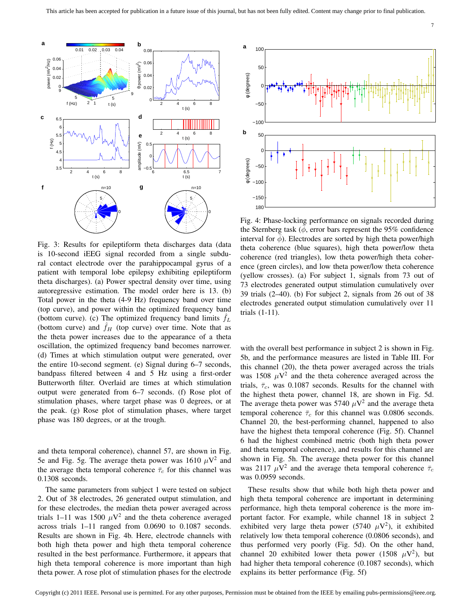

Fig. 3: Results for epileptiform theta discharges data (data is 10-second iEEG signal recorded from a single subdural contact electrode over the parahippocampal gyrus of a patient with temporal lobe epilepsy exhibiting epileptiform theta discharges). (a) Power spectral density over time, using autoregressive estimation. The model order here is 13. (b) Total power in the theta (4-9 Hz) frequency band over time (top curve), and power within the optimized frequency band (bottom curve). (c) The optimized frequency band limits  $f_L$ (bottom curve) and  $f<sub>H</sub>$  (top curve) over time. Note that as the theta power increases due to the appearance of a theta oscillation, the optimized frequency band becomes narrower. (d) Times at which stimulation output were generated, over the entire 10-second segment. (e) Signal during 6–7 seconds, bandpass filtered between 4 and 5 Hz using a first-order Butterworth filter. Overlaid are times at which stimulation output were generated from 6–7 seconds. (f) Rose plot of stimulation phases, where target phase was 0 degrees, or at the peak. (g) Rose plot of stimulation phases, where target phase was 180 degrees, or at the trough.

and theta temporal coherence), channel 57, are shown in Fig. 5e and Fig. 5g. The average theta power was 1610  $\mu$ V<sup>2</sup> and the average theta temporal coherence  $\bar{\tau}_c$  for this channel was 0.1308 seconds.

The same parameters from subject 1 were tested on subject 2. Out of 38 electrodes, 26 generated output stimulation, and for these electrodes, the median theta power averaged across trials 1–11 was 1500  $\mu$ V<sup>2</sup> and the theta coherence averaged across trials 1–11 ranged from 0.0690 to 0.1087 seconds. Results are shown in Fig. 4b. Here, electrode channels with both high theta power and high theta temporal coherence resulted in the best performance. Furthermore, it appears that high theta temporal coherence is more important than high theta power. A rose plot of stimulation phases for the electrode



Fig. 4: Phase-locking performance on signals recorded during the Sternberg task ( $\phi$ , error bars represent the 95% confidence interval for  $\phi$ ). Electrodes are sorted by high theta power/high theta coherence (blue squares), high theta power/low theta coherence (red triangles), low theta power/high theta coherence (green circles), and low theta power/low theta coherence (yellow crosses). (a) For subject 1, signals from 73 out of 73 electrodes generated output stimulation cumulatively over 39 trials (2–40). (b) For subject 2, signals from 26 out of 38 electrodes generated output stimulation cumulatively over 11 trials (1-11).

with the overall best performance in subject 2 is shown in Fig. 5b, and the performance measures are listed in Table III. For this channel (20), the theta power averaged across the trials was 1508  $\mu$ V<sup>2</sup> and the theta coherence averaged across the trials,  $\bar{\tau}_c$ , was 0.1087 seconds. Results for the channel with the highest theta power, channel 18, are shown in Fig. 5d. The average theta power was 5740  $\mu$ V<sup>2</sup> and the average theta temporal coherence  $\bar{\tau}_c$  for this channel was 0.0806 seconds. Channel 20, the best-performing channel, happened to also have the highest theta temporal coherence (Fig. 5f). Channel 6 had the highest combined metric (both high theta power and theta temporal coherence), and results for this channel are shown in Fig. 5h. The average theta power for this channel was 2117  $\mu$ V<sup>2</sup> and the average theta temporal coherence  $\bar{\tau}_c$ was 0.0959 seconds.

These results show that while both high theta power and high theta temporal coherence are important in determining performance, high theta temporal coherence is the more important factor. For example, while channel 18 in subject 2 exhibited very large theta power (5740  $\mu$ V<sup>2</sup>), it exhibited relatively low theta temporal coherence (0.0806 seconds), and thus performed very poorly (Fig. 5d). On the other hand, channel 20 exhibited lower theta power (1508  $\mu$ V<sup>2</sup>), but had higher theta temporal coherence (0.1087 seconds), which explains its better performance (Fig. 5f)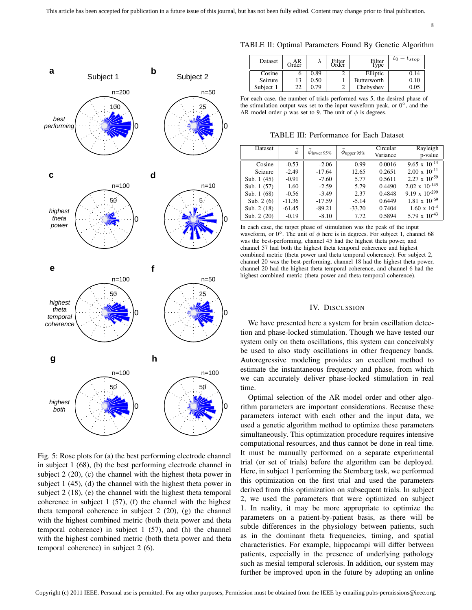

Fig. 5: Rose plots for (a) the best performing electrode channel in subject 1 (68), (b) the best performing electrode channel in subject 2 (20), (c) the channel with the highest theta power in subject 1 (45), (d) the channel with the highest theta power in subject 2 (18), (e) the channel with the highest theta temporal coherence in subject 1 (57), (f) the channel with the highest theta temporal coherence in subject 2 (20), (g) the channel with the highest combined metric (both theta power and theta temporal coherence) in subject 1 (57), and (h) the channel with the highest combined metric (both theta power and theta temporal coherence) in subject 2 (6).

## TABLE II: Optimal Parameters Found By Genetic Algorithm

8

| Dataset   | Order |      | iter<br>der | Filter<br>Vpe | $t_{stop}$<br>$\iota_0$ |
|-----------|-------|------|-------------|---------------|-------------------------|
| Cosine    | O     | 0.89 |             | Elliptic      | 0.14                    |
| Seizure   | 13    | 0.50 |             | Butterworth   | 0.10                    |
| Subject 1 | 22    | በ 79 |             | Chebyshev     | 0.05                    |

For each case, the number of trials performed was 5, the desired phase of the stimulation output was set to the input waveform peak, or  $0^{\circ}$ , and the AR model order p was set to 9. The unit of  $\phi$  is degrees.

TABLE III: Performance for Each Dataset

| Dataset      | $\phi$   | $\varphi$ lower 95% | $\varphi$ upper 95% | Circular<br>Variance | Rayleigh<br>p-value     |
|--------------|----------|---------------------|---------------------|----------------------|-------------------------|
| Cosine       | $-0.53$  | $-2.06$             | 0.99                | 0.0016               | $9.65 \times 10^{-14}$  |
| Seizure      | $-2.49$  | $-17.64$            | 12.65               | 0.2651               | $2.00 \times 10^{-11}$  |
| Sub. $1(45)$ | $-0.91$  | $-7.60$             | 5.77                | 0.5611               | $2.27 \times 10^{-59}$  |
| Sub. $1(57)$ | 1.60     | $-2.59$             | 5.79                | 0.4490               | $2.02 \times 10^{-145}$ |
| Sub. $1(68)$ | $-0.56$  | $-3.49$             | 2.37                | 0.4848               | $9.19 \times 10^{-299}$ |
| Sub. $2(6)$  | $-11.36$ | $-17.59$            | $-5.14$             | 0.6449               | $1.81 \times 10^{-69}$  |
| Sub. $2(18)$ | $-61.45$ | $-89.21$            | $-33.70$            | 0.7404               | $1.60 \times 10^{-4}$   |
| Sub. $2(20)$ | $-0.19$  | $-8.10$             | 7.72                | 0.5894               | 5.79 x $10^{-43}$       |

In each case, the target phase of stimulation was the peak of the input waveform, or  $0^{\circ}$ . The unit of  $\phi$  here is in degrees. For subject 1, channel 68 was the best-performing, channel 45 had the highest theta power, and channel 57 had both the highest theta temporal coherence and highest combined metric (theta power and theta temporal coherence). For subject 2, channel 20 was the best-performing, channel 18 had the highest theta power, channel 20 had the highest theta temporal coherence, and channel 6 had the highest combined metric (theta power and theta temporal coherence).

## IV. DISCUSSION

We have presented here a system for brain oscillation detection and phase-locked stimulation. Though we have tested our system only on theta oscillations, this system can conceivably be used to also study oscillations in other frequency bands. Autoregressive modeling provides an excellent method to estimate the instantaneous frequency and phase, from which we can accurately deliver phase-locked stimulation in real time.

Optimal selection of the AR model order and other algorithm parameters are important considerations. Because these parameters interact with each other and the input data, we used a genetic algorithm method to optimize these parameters simultaneously. This optimization procedure requires intensive computational resources, and thus cannot be done in real time. It must be manually performed on a separate experimental trial (or set of trials) before the algorithm can be deployed. Here, in subject 1 performing the Sternberg task, we performed this optimization on the first trial and used the parameters derived from this optimization on subsequent trials. In subject 2, we used the parameters that were optimized on subject 1. In reality, it may be more appropriate to optimize the parameters on a patient-by-patient basis, as there will be subtle differences in the physiology between patients, such as in the dominant theta frequencies, timing, and spatial characteristics. For example, hippocampi will differ between patients, especially in the presence of underlying pathology such as mesial temporal sclerosis. In addition, our system may further be improved upon in the future by adopting an online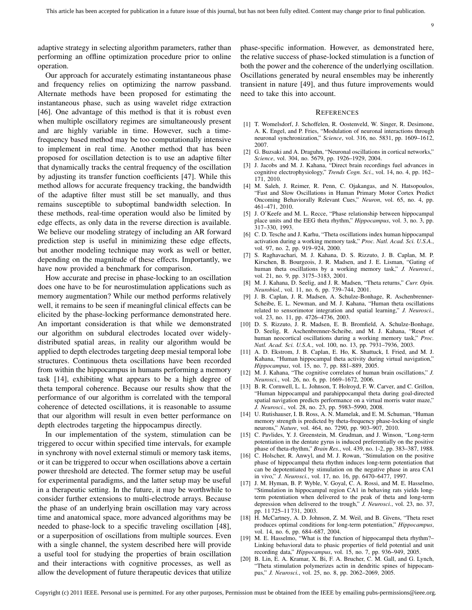adaptive strategy in selecting algorithm parameters, rather than performing an offline optimization procedure prior to online operation.

Our approach for accurately estimating instantaneous phase and frequency relies on optimizing the narrow passband. Alternate methods have been proposed for estimating the instantaneous phase, such as using wavelet ridge extraction [46]. One advantage of this method is that it is robust even when multiple oscillatory regimes are simultaneously present and are highly variable in time. However, such a timefrequency based method may be too computationally intensive to implement in real time. Another method that has been proposed for oscillation detection is to use an adaptive filter that dynamically tracks the central frequency of the oscillation by adjusting its transfer function coefficients [47]. While this method allows for accurate frequency tracking, the bandwidth of the adaptive filter must still be set manually, and thus remains susceptible to suboptimal bandwidth selection. In these methods, real-time operation would also be limited by edge effects, as only data in the reverse direction is available. We believe our modeling strategy of including an AR forward prediction step is useful in minimizing these edge effects, but another modeling technique may work as well or better, depending on the magnitude of these effects. Importantly, we have now provided a benchmark for comparison.

How accurate and precise in phase-locking to an oscillation does one have to be for neurostimulation applications such as memory augmentation? While our method performs relatively well, it remains to be seen if meaningful clinical effects can be elicited by the phase-locking performance demonstrated here. An important consideration is that while we demonstrated our algorithm on subdural electrodes located over widelydistributed spatial areas, in reality our algorithm would be applied to depth electrodes targeting deep mesial temporal lobe structures. Continuous theta oscillations have been recorded from within the hippocampus in humans performing a memory task [14], exhibiting what appears to be a high degree of theta temporal coherence. Because our results show that the performance of our algorithm is correlated with the temporal coherence of detected oscillations, it is reasonable to assume that our algorithm will result in even better performance on depth electrodes targeting the hippocampus directly.

In our implementation of the system, stimulation can be triggered to occur within specified time intervals, for example in synchrony with novel external stimuli or memory task items, or it can be triggered to occur when oscillations above a certain power threshold are detected. The former setup may be useful for experimental paradigms, and the latter setup may be useful in a therapeutic setting. In the future, it may be worthwhile to consider further extensions to multi-electrode arrays. Because the phase of an underlying brain oscillation may vary across time and anatomical space, more advanced algorithms may be needed to phase-lock to a specific traveling oscillation [48], or a superposition of oscillations from multiple sources. Even with a single channel, the system described here will provide a useful tool for studying the properties of brain oscillation and their interactions with cognitive processes, as well as allow the development of future therapeutic devices that utilize

phase-specific information. However, as demonstrated here, the relative success of phase-locked stimulation is a function of both the power and the coherence of the underlying oscillation. Oscillations generated by neural ensembles may be inherently transient in nature [49], and thus future improvements would need to take this into account.

#### **REFERENCES**

- [1] T. Womelsdorf, J. Schoffelen, R. Oostenveld, W. Singer, R. Desimone, A. K. Engel, and P. Fries, "Modulation of neuronal interactions through neuronal synchronization," *Science*, vol. 316, no. 5831, pp. 1609–1612, 2007.
- [2] G. Buzsaki and A. Draguhn, "Neuronal oscillations in cortical networks," *Science*, vol. 304, no. 5679, pp. 1926–1929, 2004.
- [3] J. Jacobs and M. J. Kahana, "Direct brain recordings fuel advances in cognitive electrophysiology," *Trends Cogn. Sci.*, vol. 14, no. 4, pp. 162– 171, 2010.
- [4] M. Saleh, J. Reimer, R. Penn, C. Ojakangas, and N. Hatsopoulos, "Fast and Slow Oscillations in Human Primary Motor Cortex Predict Oncoming Behaviorally Relevant Cues," *Neuron*, vol. 65, no. 4, pp. 461–471, 2010.
- [5] J. O'Keefe and M. L. Recce, "Phase relationship between hippocampal place units and the EEG theta rhythm," *Hippocampus*, vol. 3, no. 3, pp. 317–330, 1993.
- [6] C. D. Tesche and J. Karhu, "Theta oscillations index human hippocampal activation during a working memory task," *Proc. Natl. Acad. Sci. U.S.A.*, vol. 97, no. 2, pp. 919–924, 2000.
- [7] S. Raghavachari, M. J. Kahana, D. S. Rizzuto, J. B. Caplan, M. P. Kirschen, B. Bourgeois, J. R. Madsen, and J. E. Lisman, "Gating of human theta oscillations by a working memory task," *J. Neurosci.*, vol. 21, no. 9, pp. 3175–3183, 2001.
- [8] M. J. Kahana, D. Seelig, and J. R. Madsen, "Theta returns," *Curr. Opin. Neurobiol.*, vol. 11, no. 6, pp. 739–744, 2001.
- [9] J. B. Caplan, J. R. Madsen, A. Schulze-Bonhage, R. Aschenbrenner-Scheibe, E. L. Newman, and M. J. Kahana, "Human theta oscillations related to sensorimotor integration and spatial learning," *J. Neurosci.*, vol. 23, no. 11, pp. 4726–4736, 2003.
- [10] D. S. Rizzuto, J. R. Madsen, E. B. Bromfield, A. Schulze-Bonhage, D. Seelig, R. Aschenbrenner-Scheibe, and M. J. Kahana, "Reset of human neocortical oscillations during a working memory task," *Proc. Natl. Acad. Sci. U.S.A.*, vol. 100, no. 13, pp. 7931–7936, 2003.
- [11] A. D. Ekstrom, J. B. Caplan, E. Ho, K. Shattuck, I. Fried, and M. J. Kahana, "Human hippocampal theta activity during virtual navigation," *Hippocampus*, vol. 15, no. 7, pp. 881–889, 2005.
- [12] M. J. Kahana, "The cognitive correlates of human brain oscillations," *J. Neurosci.*, vol. 26, no. 6, pp. 1669–1672, 2006.
- [13] B. R. Cornwell, L. L. Johnson, T. Holroyd, F. W. Carver, and C. Grillon, "Human hippocampal and parahippocampal theta during goal-directed spatial navigation predicts performance on a virtual morris water maze," *J. Neurosci.*, vol. 28, no. 23, pp. 5983–5990, 2008.
- [14] U. Rutishauser, I. B. Ross, A. N. Mamelak, and E. M. Schuman, "Human memory strength is predicted by theta-frequency phase-locking of single neurons," *Nature*, vol. 464, no. 7290, pp. 903–907, 2010.
- [15] C. Pavlides, Y. J. Greenstein, M. Grudman, and J. Winson, "Long-term potentiation in the dentate gyrus is induced preferentially on the positive phase of theta-rhythm," *Brain Res.*, vol. 439, no. 1-2, pp. 383–387, 1988.
- [16] C. Holscher, R. Anwyl, and M. J. Rowan, "Stimulation on the positive phase of hippocampal theta rhythm induces long-term potentiation that can be depotentiated by stimulation on the negative phase in area CA1 in vivo," *J. Neurosci.*, vol. 17, no. 16, pp. 6470–6477, 1997.
- [17] J. M. Hyman, B. P. Wyble, V. Goyal, C. A. Rossi, and M. E. Hasselmo, "Stimulation in hippocampal region CA1 in behaving rats yields longterm potentiation when delivered to the peak of theta and long-term depression when delivered to the trough," *J. Neurosci.*, vol. 23, no. 37, pp. 11 725–11 731, 2003.
- [18] H. McCartney, A. D. Johnson, Z. M. Weil, and B. Givens, "Theta reset produces optimal conditions for long-term potentiation," *Hippocampus*, vol. 14, no. 6, pp. 684–687, 2004.
- [19] M. E. Hasselmo, "What is the function of hippocampal theta rhythm?– Linking behavioral data to phasic properties of field potential and unit recording data," *Hippocampus*, vol. 15, no. 7, pp. 936–949, 2005.
- [20] B. Lin, E. A. Kramar, X. Bi, F. A. Brucher, C. M. Gall, and G. Lynch, "Theta stimulation polymerizes actin in dendritic spines of hippocampus," *J. Neurosci.*, vol. 25, no. 8, pp. 2062–2069, 2005.